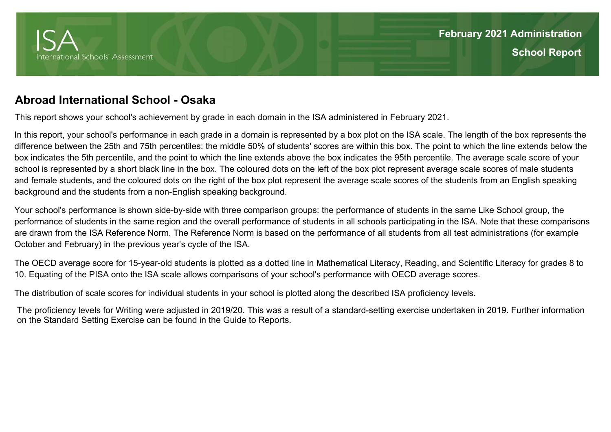

## **Abroad International School - Osaka**

This report shows your school's achievement by grade in each domain in the ISA administered in February 2021.

In this report, your school's performance in each grade in a domain is represented by a box plot on the ISA scale. The length of the box represents the difference between the 25th and 75th percentiles: the middle 50% of students' scores are within this box. The point to which the line extends below the box indicates the 5th percentile, and the point to which the line extends above the box indicates the 95th percentile. The average scale score of your school is represented by a short black line in the box. The coloured dots on the left of the box plot represent average scale scores of male students and female students, and the coloured dots on the right of the box plot represent the average scale scores of the students from an English speaking background and the students from a non-English speaking background.

Your school's performance is shown side-by-side with three comparison groups: the performance of students in the same Like School group, the performance of students in the same region and the overall performance of students in all schools participating in the ISA. Note that these comparisons are drawn from the ISA Reference Norm. The Reference Norm is based on the performance of all students from all test administrations (for example October and February) in the previous year's cycle of the ISA.

The OECD average score for 15-year-old students is plotted as a dotted line in Mathematical Literacy, Reading, and Scientific Literacy for grades 8 to 10. Equating of the PISA onto the ISA scale allows comparisons of your school's performance with OECD average scores.

The distribution of scale scores for individual students in your school is plotted along the described ISA proficiency levels.

The proficiency levels for Writing were adjusted in 2019/20. This was a result of a standard-setting exercise undertaken in 2019. Further information on the Standard Setting Exercise can be found in the Guide to Reports.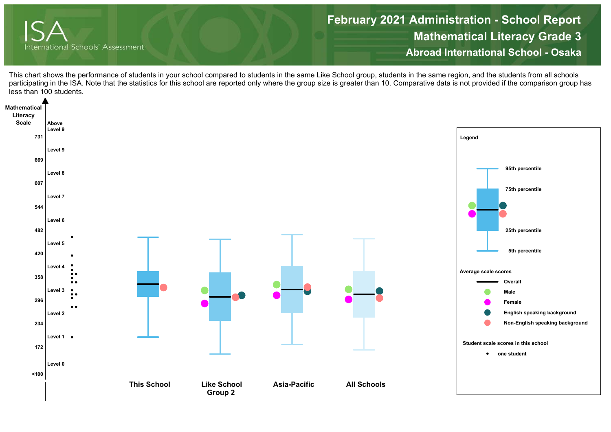

**Mathematical Literacy Grade 3 Abroad International School - OsakaFebruary 2021 Administration - School Report**

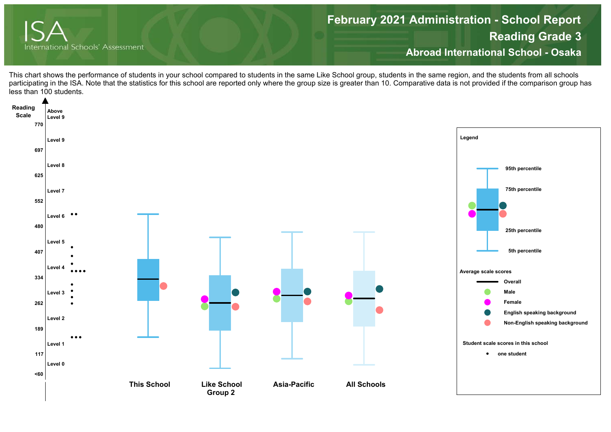

**Reading Grade 3 Abroad International School - Osaka February 2021 Administration - School Report**

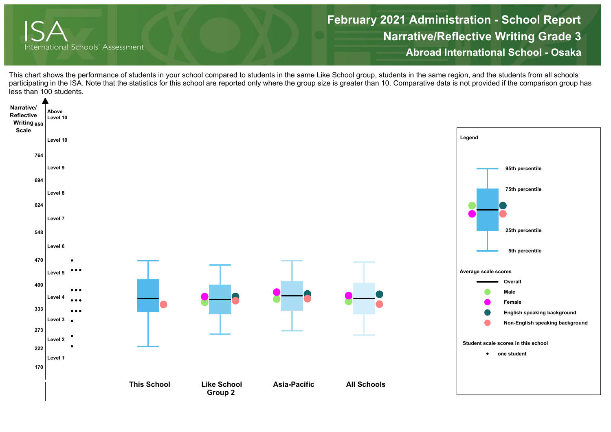

**Narrative/Reflective Writing Grade 3 Abroad International School - OsakaFebruary 2021 Administration - School Report**

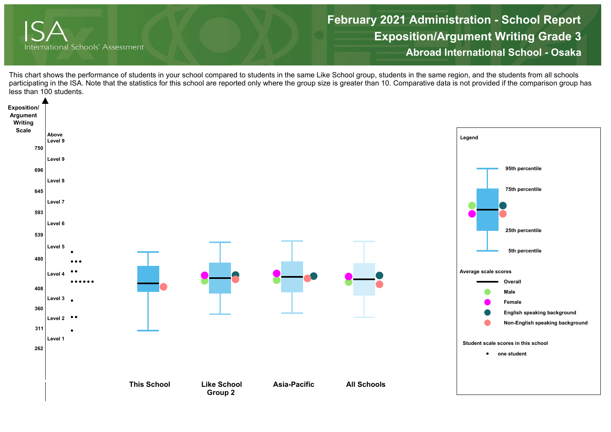

**Exposition/Argument Writing Grade 3 Abroad International School - Osaka February 2021 Administration - School Report**

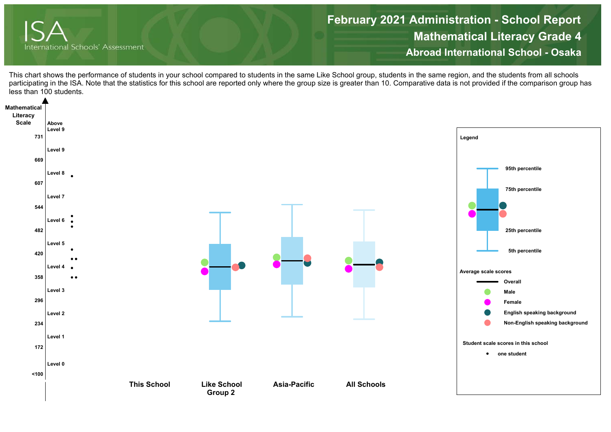

**Mathematical Literacy Grade 4 Abroad International School - OsakaFebruary 2021 Administration - School Report**

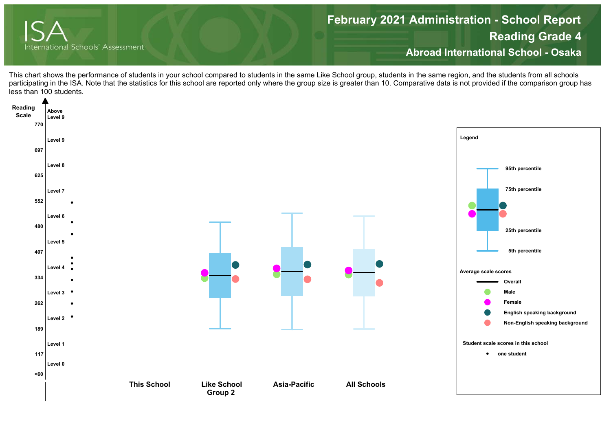

**Reading Grade 4 Abroad International School - Osaka February 2021 Administration - School Report**

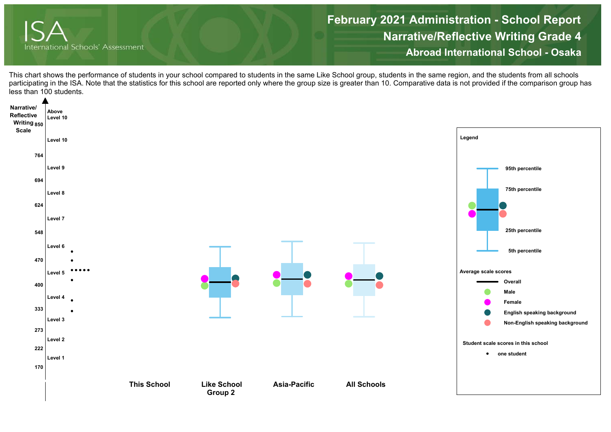

**Narrative/Reflective Writing Grade 4 Abroad International School - OsakaFebruary 2021 Administration - School Report**

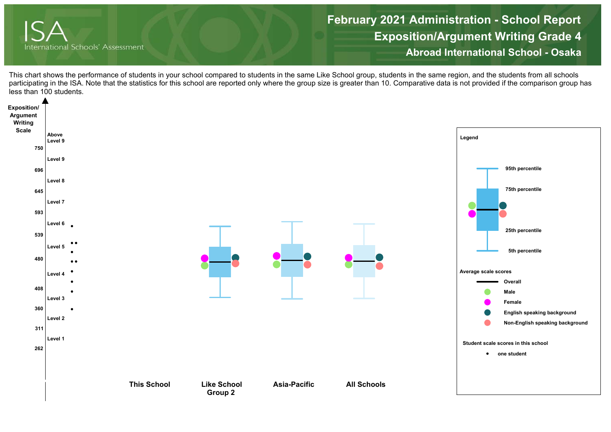

**Exposition/Argument Writing Grade 4 Abroad International School - Osaka February 2021 Administration - School Report**

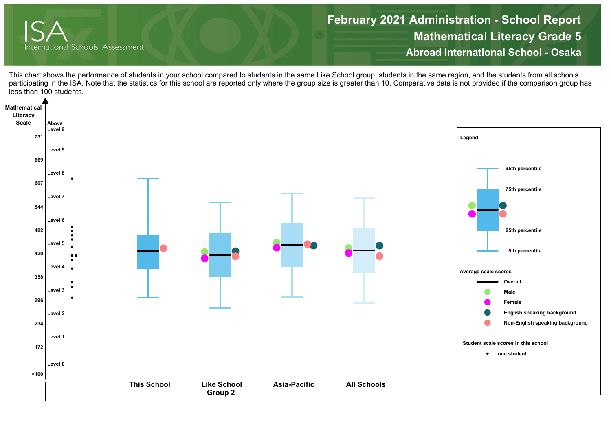

**Mathematical Literacy Grade 5 Abroad International School - OsakaFebruary 2021 Administration - School Report**

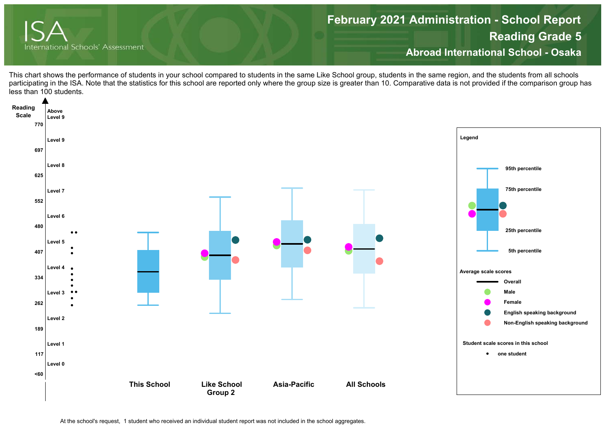

**Reading Grade 5 Abroad International School - Osaka February 2021 Administration - School Report**

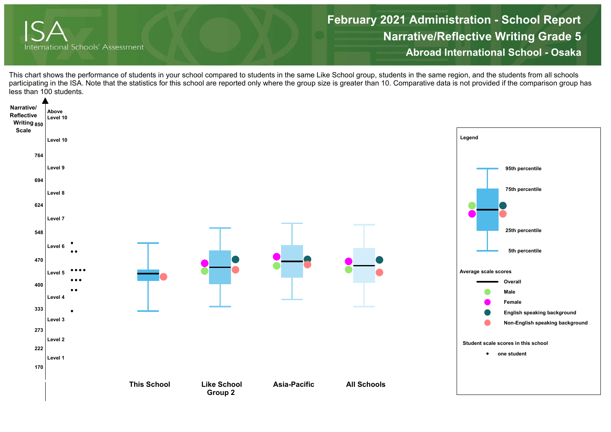

**Narrative/Reflective Writing Grade 5 Abroad International School - OsakaFebruary 2021 Administration - School Report**

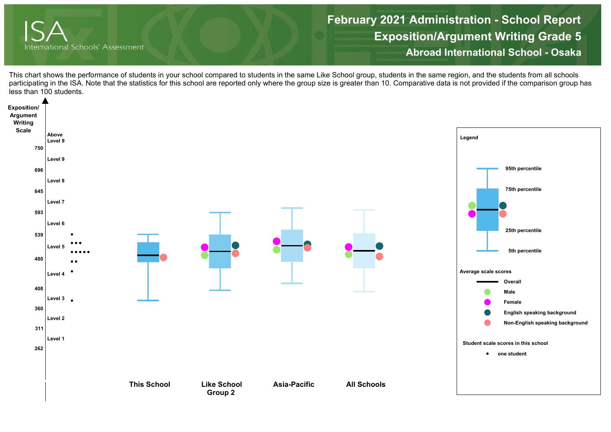

**Exposition/Argument Writing Grade 5 Abroad International School - Osaka February 2021 Administration - School Report**

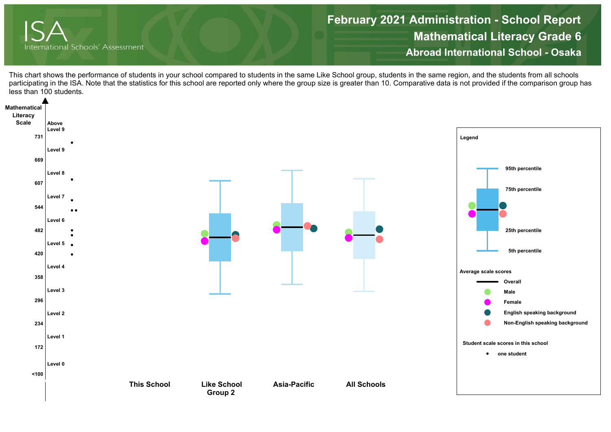

**Mathematical Literacy Grade 6 Abroad International School - OsakaFebruary 2021 Administration - School Report**

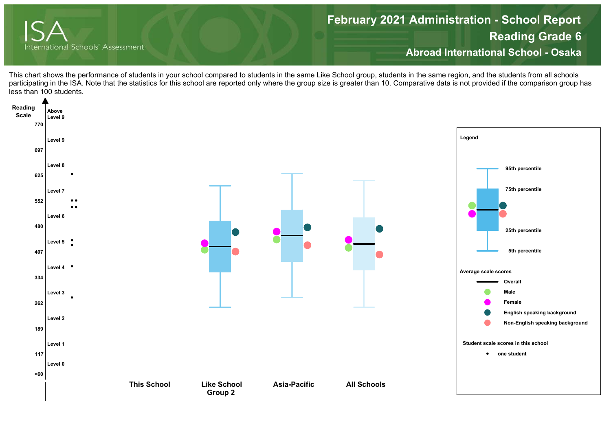

**Reading Grade 6 Abroad International School - Osaka February 2021 Administration - School Report**

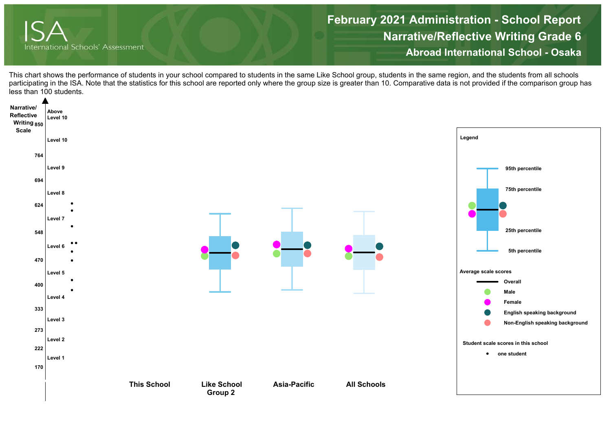

**Narrative/Reflective Writing Grade 6 Abroad International School - OsakaFebruary 2021 Administration - School Report**

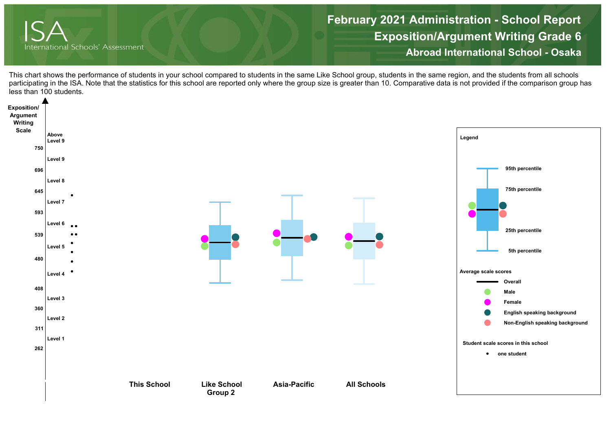

**Exposition/Argument Writing Grade 6 Abroad International School - Osaka February 2021 Administration - School Report**

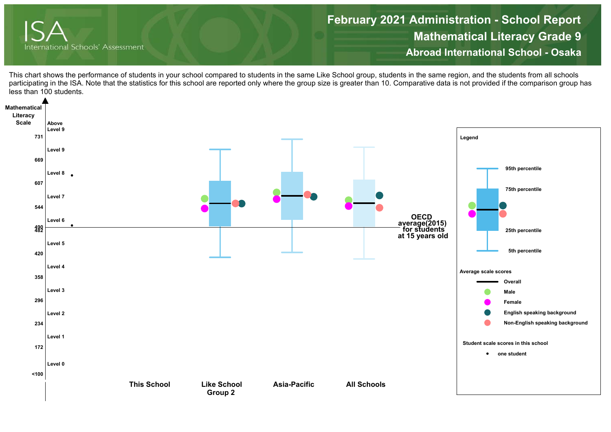

**Mathematical Literacy Grade 9 Abroad International School - OsakaFebruary 2021 Administration - School Report**

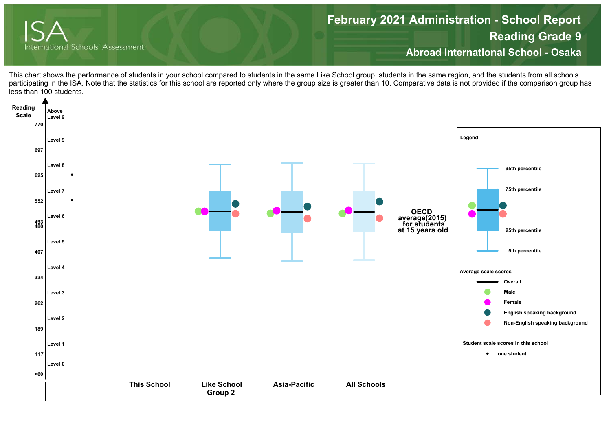

**Reading Grade 9 Abroad International School - OsakaFebruary 2021 Administration - School Report**

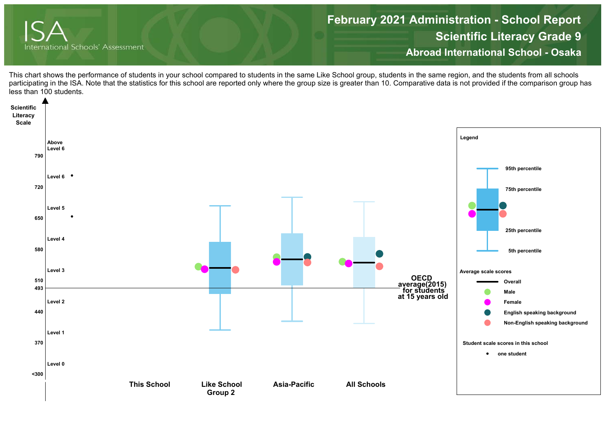

**Scientific Literacy Grade 9 Abroad International School - OsakaFebruary 2021 Administration - School Report**

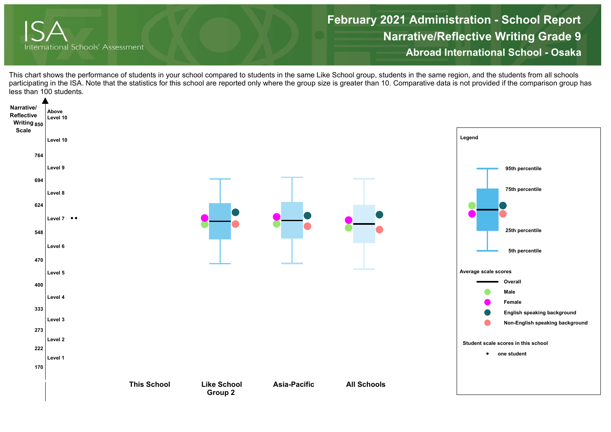

**Narrative/Reflective Writing Grade 9 Abroad International School - OsakaFebruary 2021 Administration - School Report**